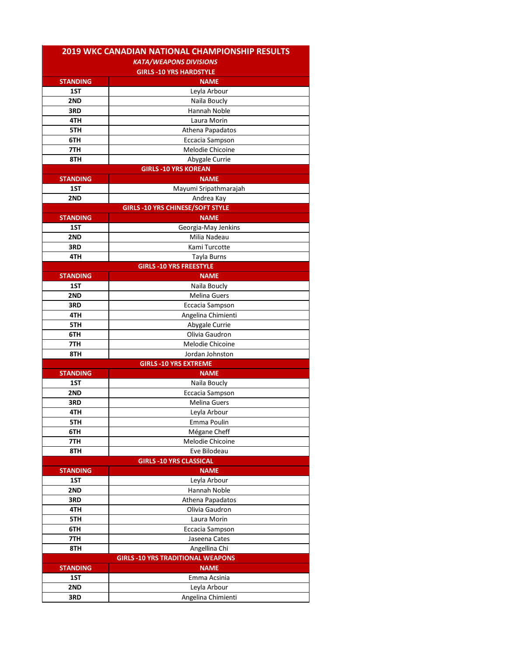| <b>KATA/WEAPONS DIVISIONS</b><br><b>GIRLS -10 YRS HARDSTYLE</b><br><b>NAME</b><br><b>STANDING</b><br>1ST<br>Leyla Arbour<br>2ND<br>Naila Boucly<br>Hannah Noble<br>3RD<br>4TH<br>Laura Morin<br>5TH<br>Athena Papadatos<br>6TH<br>Eccacia Sampson<br>Melodie Chicoine<br>7TH<br>Abygale Currie<br>8TH<br><b>GIRLS -10 YRS KOREAN</b><br><b>STANDING</b><br><b>NAME</b><br>1ST<br>Mayumi Sripathmarajah<br>2ND<br>Andrea Kay<br><b>GIRLS -10 YRS CHINESE/SOFT STYLE</b><br><b>NAME</b><br><b>STANDING</b><br>1ST<br>Georgia-May Jenkins<br>2ND<br>Milia Nadeau<br>Kami Turcotte<br>3RD<br>4TH<br><b>Tayla Burns</b><br><b>GIRLS -10 YRS FREESTYLE</b><br><b>STANDING</b><br><b>NAME</b><br>1ST<br>Naila Boucly<br>Melina Guers<br>2ND<br>3RD<br>Eccacia Sampson<br>Angelina Chimienti<br>4TH<br>Abygale Currie<br>5TH<br>Olivia Gaudron<br>6TH<br>Melodie Chicoine<br>7TH<br>8TH<br>Jordan Johnston<br><b>GIRLS -10 YRS EXTREME</b><br><b>STANDING</b><br><b>NAME</b><br>1ST<br>Naila Boucly<br>2ND<br>Eccacia Sampson<br>3RD<br><b>Melina Guers</b><br>Leyla Arbour<br>4TH<br>5TH<br>Emma Poulin<br>Mégane Cheff<br>6TH<br>7TH<br>Melodie Chicoine<br>8TH<br>Eve Bilodeau<br><b>GIRLS -10 YRS CLASSICAL</b><br><b>NAME</b><br><b>STANDING</b><br>1ST<br>Leyla Arbour<br>2ND<br>Hannah Noble<br>3RD<br>Athena Papadatos<br>Olivia Gaudron<br>4TH<br>5TH<br>Laura Morin<br>Eccacia Sampson<br>6TH<br>Jaseena Cates<br>7TH<br>Angellina Chi<br>8TH<br><b>GIRLS -10 YRS TRADITIONAL WEAPONS</b><br><b>NAME</b><br><b>STANDING</b><br>1ST<br>Emma Acsinia<br>2ND<br>Leyla Arbour | <b>2019 WKC CANADIAN NATIONAL CHAMPIONSHIP RESULTS</b> |                    |
|-----------------------------------------------------------------------------------------------------------------------------------------------------------------------------------------------------------------------------------------------------------------------------------------------------------------------------------------------------------------------------------------------------------------------------------------------------------------------------------------------------------------------------------------------------------------------------------------------------------------------------------------------------------------------------------------------------------------------------------------------------------------------------------------------------------------------------------------------------------------------------------------------------------------------------------------------------------------------------------------------------------------------------------------------------------------------------------------------------------------------------------------------------------------------------------------------------------------------------------------------------------------------------------------------------------------------------------------------------------------------------------------------------------------------------------------------------------------------------------------------------------------------------------------------------------------------------|--------------------------------------------------------|--------------------|
|                                                                                                                                                                                                                                                                                                                                                                                                                                                                                                                                                                                                                                                                                                                                                                                                                                                                                                                                                                                                                                                                                                                                                                                                                                                                                                                                                                                                                                                                                                                                                                             |                                                        |                    |
|                                                                                                                                                                                                                                                                                                                                                                                                                                                                                                                                                                                                                                                                                                                                                                                                                                                                                                                                                                                                                                                                                                                                                                                                                                                                                                                                                                                                                                                                                                                                                                             |                                                        |                    |
|                                                                                                                                                                                                                                                                                                                                                                                                                                                                                                                                                                                                                                                                                                                                                                                                                                                                                                                                                                                                                                                                                                                                                                                                                                                                                                                                                                                                                                                                                                                                                                             |                                                        |                    |
|                                                                                                                                                                                                                                                                                                                                                                                                                                                                                                                                                                                                                                                                                                                                                                                                                                                                                                                                                                                                                                                                                                                                                                                                                                                                                                                                                                                                                                                                                                                                                                             |                                                        |                    |
|                                                                                                                                                                                                                                                                                                                                                                                                                                                                                                                                                                                                                                                                                                                                                                                                                                                                                                                                                                                                                                                                                                                                                                                                                                                                                                                                                                                                                                                                                                                                                                             |                                                        |                    |
|                                                                                                                                                                                                                                                                                                                                                                                                                                                                                                                                                                                                                                                                                                                                                                                                                                                                                                                                                                                                                                                                                                                                                                                                                                                                                                                                                                                                                                                                                                                                                                             |                                                        |                    |
|                                                                                                                                                                                                                                                                                                                                                                                                                                                                                                                                                                                                                                                                                                                                                                                                                                                                                                                                                                                                                                                                                                                                                                                                                                                                                                                                                                                                                                                                                                                                                                             |                                                        |                    |
|                                                                                                                                                                                                                                                                                                                                                                                                                                                                                                                                                                                                                                                                                                                                                                                                                                                                                                                                                                                                                                                                                                                                                                                                                                                                                                                                                                                                                                                                                                                                                                             |                                                        |                    |
|                                                                                                                                                                                                                                                                                                                                                                                                                                                                                                                                                                                                                                                                                                                                                                                                                                                                                                                                                                                                                                                                                                                                                                                                                                                                                                                                                                                                                                                                                                                                                                             |                                                        |                    |
|                                                                                                                                                                                                                                                                                                                                                                                                                                                                                                                                                                                                                                                                                                                                                                                                                                                                                                                                                                                                                                                                                                                                                                                                                                                                                                                                                                                                                                                                                                                                                                             |                                                        |                    |
|                                                                                                                                                                                                                                                                                                                                                                                                                                                                                                                                                                                                                                                                                                                                                                                                                                                                                                                                                                                                                                                                                                                                                                                                                                                                                                                                                                                                                                                                                                                                                                             |                                                        |                    |
|                                                                                                                                                                                                                                                                                                                                                                                                                                                                                                                                                                                                                                                                                                                                                                                                                                                                                                                                                                                                                                                                                                                                                                                                                                                                                                                                                                                                                                                                                                                                                                             |                                                        |                    |
|                                                                                                                                                                                                                                                                                                                                                                                                                                                                                                                                                                                                                                                                                                                                                                                                                                                                                                                                                                                                                                                                                                                                                                                                                                                                                                                                                                                                                                                                                                                                                                             |                                                        |                    |
|                                                                                                                                                                                                                                                                                                                                                                                                                                                                                                                                                                                                                                                                                                                                                                                                                                                                                                                                                                                                                                                                                                                                                                                                                                                                                                                                                                                                                                                                                                                                                                             |                                                        |                    |
|                                                                                                                                                                                                                                                                                                                                                                                                                                                                                                                                                                                                                                                                                                                                                                                                                                                                                                                                                                                                                                                                                                                                                                                                                                                                                                                                                                                                                                                                                                                                                                             |                                                        |                    |
|                                                                                                                                                                                                                                                                                                                                                                                                                                                                                                                                                                                                                                                                                                                                                                                                                                                                                                                                                                                                                                                                                                                                                                                                                                                                                                                                                                                                                                                                                                                                                                             |                                                        |                    |
|                                                                                                                                                                                                                                                                                                                                                                                                                                                                                                                                                                                                                                                                                                                                                                                                                                                                                                                                                                                                                                                                                                                                                                                                                                                                                                                                                                                                                                                                                                                                                                             |                                                        |                    |
|                                                                                                                                                                                                                                                                                                                                                                                                                                                                                                                                                                                                                                                                                                                                                                                                                                                                                                                                                                                                                                                                                                                                                                                                                                                                                                                                                                                                                                                                                                                                                                             |                                                        |                    |
|                                                                                                                                                                                                                                                                                                                                                                                                                                                                                                                                                                                                                                                                                                                                                                                                                                                                                                                                                                                                                                                                                                                                                                                                                                                                                                                                                                                                                                                                                                                                                                             |                                                        |                    |
|                                                                                                                                                                                                                                                                                                                                                                                                                                                                                                                                                                                                                                                                                                                                                                                                                                                                                                                                                                                                                                                                                                                                                                                                                                                                                                                                                                                                                                                                                                                                                                             |                                                        |                    |
|                                                                                                                                                                                                                                                                                                                                                                                                                                                                                                                                                                                                                                                                                                                                                                                                                                                                                                                                                                                                                                                                                                                                                                                                                                                                                                                                                                                                                                                                                                                                                                             |                                                        |                    |
|                                                                                                                                                                                                                                                                                                                                                                                                                                                                                                                                                                                                                                                                                                                                                                                                                                                                                                                                                                                                                                                                                                                                                                                                                                                                                                                                                                                                                                                                                                                                                                             |                                                        |                    |
|                                                                                                                                                                                                                                                                                                                                                                                                                                                                                                                                                                                                                                                                                                                                                                                                                                                                                                                                                                                                                                                                                                                                                                                                                                                                                                                                                                                                                                                                                                                                                                             |                                                        |                    |
|                                                                                                                                                                                                                                                                                                                                                                                                                                                                                                                                                                                                                                                                                                                                                                                                                                                                                                                                                                                                                                                                                                                                                                                                                                                                                                                                                                                                                                                                                                                                                                             |                                                        |                    |
|                                                                                                                                                                                                                                                                                                                                                                                                                                                                                                                                                                                                                                                                                                                                                                                                                                                                                                                                                                                                                                                                                                                                                                                                                                                                                                                                                                                                                                                                                                                                                                             |                                                        |                    |
|                                                                                                                                                                                                                                                                                                                                                                                                                                                                                                                                                                                                                                                                                                                                                                                                                                                                                                                                                                                                                                                                                                                                                                                                                                                                                                                                                                                                                                                                                                                                                                             |                                                        |                    |
|                                                                                                                                                                                                                                                                                                                                                                                                                                                                                                                                                                                                                                                                                                                                                                                                                                                                                                                                                                                                                                                                                                                                                                                                                                                                                                                                                                                                                                                                                                                                                                             |                                                        |                    |
|                                                                                                                                                                                                                                                                                                                                                                                                                                                                                                                                                                                                                                                                                                                                                                                                                                                                                                                                                                                                                                                                                                                                                                                                                                                                                                                                                                                                                                                                                                                                                                             |                                                        |                    |
|                                                                                                                                                                                                                                                                                                                                                                                                                                                                                                                                                                                                                                                                                                                                                                                                                                                                                                                                                                                                                                                                                                                                                                                                                                                                                                                                                                                                                                                                                                                                                                             |                                                        |                    |
|                                                                                                                                                                                                                                                                                                                                                                                                                                                                                                                                                                                                                                                                                                                                                                                                                                                                                                                                                                                                                                                                                                                                                                                                                                                                                                                                                                                                                                                                                                                                                                             |                                                        |                    |
|                                                                                                                                                                                                                                                                                                                                                                                                                                                                                                                                                                                                                                                                                                                                                                                                                                                                                                                                                                                                                                                                                                                                                                                                                                                                                                                                                                                                                                                                                                                                                                             |                                                        |                    |
|                                                                                                                                                                                                                                                                                                                                                                                                                                                                                                                                                                                                                                                                                                                                                                                                                                                                                                                                                                                                                                                                                                                                                                                                                                                                                                                                                                                                                                                                                                                                                                             |                                                        |                    |
|                                                                                                                                                                                                                                                                                                                                                                                                                                                                                                                                                                                                                                                                                                                                                                                                                                                                                                                                                                                                                                                                                                                                                                                                                                                                                                                                                                                                                                                                                                                                                                             |                                                        |                    |
|                                                                                                                                                                                                                                                                                                                                                                                                                                                                                                                                                                                                                                                                                                                                                                                                                                                                                                                                                                                                                                                                                                                                                                                                                                                                                                                                                                                                                                                                                                                                                                             |                                                        |                    |
|                                                                                                                                                                                                                                                                                                                                                                                                                                                                                                                                                                                                                                                                                                                                                                                                                                                                                                                                                                                                                                                                                                                                                                                                                                                                                                                                                                                                                                                                                                                                                                             |                                                        |                    |
|                                                                                                                                                                                                                                                                                                                                                                                                                                                                                                                                                                                                                                                                                                                                                                                                                                                                                                                                                                                                                                                                                                                                                                                                                                                                                                                                                                                                                                                                                                                                                                             |                                                        |                    |
|                                                                                                                                                                                                                                                                                                                                                                                                                                                                                                                                                                                                                                                                                                                                                                                                                                                                                                                                                                                                                                                                                                                                                                                                                                                                                                                                                                                                                                                                                                                                                                             |                                                        |                    |
|                                                                                                                                                                                                                                                                                                                                                                                                                                                                                                                                                                                                                                                                                                                                                                                                                                                                                                                                                                                                                                                                                                                                                                                                                                                                                                                                                                                                                                                                                                                                                                             |                                                        |                    |
|                                                                                                                                                                                                                                                                                                                                                                                                                                                                                                                                                                                                                                                                                                                                                                                                                                                                                                                                                                                                                                                                                                                                                                                                                                                                                                                                                                                                                                                                                                                                                                             |                                                        |                    |
|                                                                                                                                                                                                                                                                                                                                                                                                                                                                                                                                                                                                                                                                                                                                                                                                                                                                                                                                                                                                                                                                                                                                                                                                                                                                                                                                                                                                                                                                                                                                                                             |                                                        |                    |
|                                                                                                                                                                                                                                                                                                                                                                                                                                                                                                                                                                                                                                                                                                                                                                                                                                                                                                                                                                                                                                                                                                                                                                                                                                                                                                                                                                                                                                                                                                                                                                             |                                                        |                    |
|                                                                                                                                                                                                                                                                                                                                                                                                                                                                                                                                                                                                                                                                                                                                                                                                                                                                                                                                                                                                                                                                                                                                                                                                                                                                                                                                                                                                                                                                                                                                                                             |                                                        |                    |
|                                                                                                                                                                                                                                                                                                                                                                                                                                                                                                                                                                                                                                                                                                                                                                                                                                                                                                                                                                                                                                                                                                                                                                                                                                                                                                                                                                                                                                                                                                                                                                             |                                                        |                    |
|                                                                                                                                                                                                                                                                                                                                                                                                                                                                                                                                                                                                                                                                                                                                                                                                                                                                                                                                                                                                                                                                                                                                                                                                                                                                                                                                                                                                                                                                                                                                                                             |                                                        |                    |
|                                                                                                                                                                                                                                                                                                                                                                                                                                                                                                                                                                                                                                                                                                                                                                                                                                                                                                                                                                                                                                                                                                                                                                                                                                                                                                                                                                                                                                                                                                                                                                             |                                                        |                    |
|                                                                                                                                                                                                                                                                                                                                                                                                                                                                                                                                                                                                                                                                                                                                                                                                                                                                                                                                                                                                                                                                                                                                                                                                                                                                                                                                                                                                                                                                                                                                                                             |                                                        |                    |
|                                                                                                                                                                                                                                                                                                                                                                                                                                                                                                                                                                                                                                                                                                                                                                                                                                                                                                                                                                                                                                                                                                                                                                                                                                                                                                                                                                                                                                                                                                                                                                             |                                                        |                    |
|                                                                                                                                                                                                                                                                                                                                                                                                                                                                                                                                                                                                                                                                                                                                                                                                                                                                                                                                                                                                                                                                                                                                                                                                                                                                                                                                                                                                                                                                                                                                                                             |                                                        |                    |
|                                                                                                                                                                                                                                                                                                                                                                                                                                                                                                                                                                                                                                                                                                                                                                                                                                                                                                                                                                                                                                                                                                                                                                                                                                                                                                                                                                                                                                                                                                                                                                             |                                                        |                    |
|                                                                                                                                                                                                                                                                                                                                                                                                                                                                                                                                                                                                                                                                                                                                                                                                                                                                                                                                                                                                                                                                                                                                                                                                                                                                                                                                                                                                                                                                                                                                                                             |                                                        |                    |
|                                                                                                                                                                                                                                                                                                                                                                                                                                                                                                                                                                                                                                                                                                                                                                                                                                                                                                                                                                                                                                                                                                                                                                                                                                                                                                                                                                                                                                                                                                                                                                             |                                                        |                    |
|                                                                                                                                                                                                                                                                                                                                                                                                                                                                                                                                                                                                                                                                                                                                                                                                                                                                                                                                                                                                                                                                                                                                                                                                                                                                                                                                                                                                                                                                                                                                                                             |                                                        |                    |
|                                                                                                                                                                                                                                                                                                                                                                                                                                                                                                                                                                                                                                                                                                                                                                                                                                                                                                                                                                                                                                                                                                                                                                                                                                                                                                                                                                                                                                                                                                                                                                             |                                                        |                    |
|                                                                                                                                                                                                                                                                                                                                                                                                                                                                                                                                                                                                                                                                                                                                                                                                                                                                                                                                                                                                                                                                                                                                                                                                                                                                                                                                                                                                                                                                                                                                                                             |                                                        |                    |
|                                                                                                                                                                                                                                                                                                                                                                                                                                                                                                                                                                                                                                                                                                                                                                                                                                                                                                                                                                                                                                                                                                                                                                                                                                                                                                                                                                                                                                                                                                                                                                             |                                                        |                    |
|                                                                                                                                                                                                                                                                                                                                                                                                                                                                                                                                                                                                                                                                                                                                                                                                                                                                                                                                                                                                                                                                                                                                                                                                                                                                                                                                                                                                                                                                                                                                                                             | 3RD                                                    | Angelina Chimienti |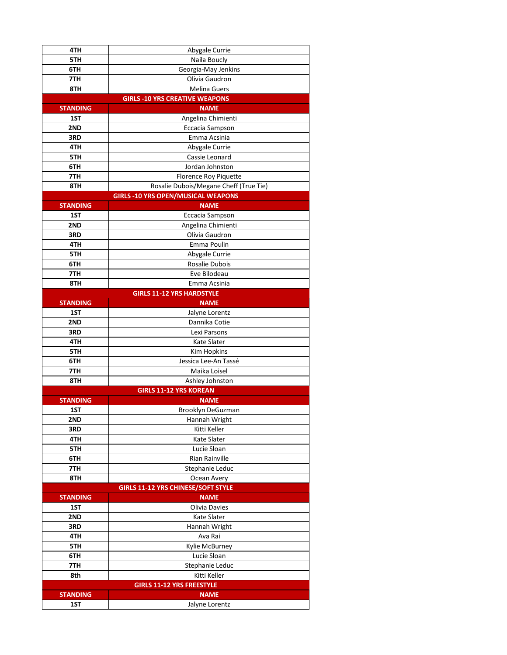| 4TH             | Abygale Currie                            |
|-----------------|-------------------------------------------|
| 5TH             | Naila Boucly                              |
| 6TH             | Georgia-May Jenkins                       |
| 7TH             | Olivia Gaudron                            |
| 8TH             | <b>Melina Guers</b>                       |
|                 | <b>GIRLS -10 YRS CREATIVE WEAPONS</b>     |
| <b>STANDING</b> | <b>NAME</b>                               |
| 1ST             | Angelina Chimienti                        |
| 2ND             | Eccacia Sampson                           |
| 3RD             | Emma Acsinia                              |
| 4TH             | Abygale Currie                            |
| 5TH             | Cassie Leonard                            |
| 6TH             | Jordan Johnston                           |
| 7TH             | Florence Roy Piquette                     |
| 8TH             | Rosalie Dubois/Megane Cheff (True Tie)    |
|                 | <b>GIRLS -10 YRS OPEN/MUSICAL WEAPONS</b> |
| <b>STANDING</b> | <b>NAME</b>                               |
| 1ST             | Eccacia Sampson                           |
| 2ND             | Angelina Chimienti                        |
| 3RD             | Olivia Gaudron                            |
| 4TH             | Emma Poulin                               |
| 5TH             | Abygale Currie                            |
| 6TH             | Rosalie Dubois                            |
| 7TH             | Eve Bilodeau                              |
| 8TH             | Emma Acsinia                              |
|                 | <b>GIRLS 11-12 YRS HARDSTYLE</b>          |
| <b>STANDING</b> | <b>NAME</b>                               |
| 1ST             | Jalyne Lorentz                            |
| 2ND             | Dannika Cotie                             |
| 3RD             | Lexi Parsons                              |
| 4TH             | <b>Kate Slater</b>                        |
| 5TH             | <b>Kim Hopkins</b>                        |
| 6TH             | Jessica Lee-An Tassé                      |
| 7TH             | Maika Loisel                              |
| 8TH             | Ashley Johnston                           |
|                 | <b>GIRLS 11-12 YRS KOREAN</b>             |
| <b>STANDING</b> | <b>NAME</b>                               |
| 1ST             | Brooklyn DeGuzman                         |
| 2ND             | Hannah Wright                             |
| 3RD             | Kitti Keller                              |
| 4TH             | Kate Slater                               |
| 5TH             | Lucie Sloan                               |
| 6TH             | <b>Rian Rainville</b>                     |
| 7TH             | Stephanie Leduc                           |
| 8TH             | Ocean Avery                               |
|                 | <b>GIRLS 11-12 YRS CHINESE/SOFT STYLE</b> |
| <b>STANDING</b> | <b>NAME</b>                               |
| 1ST             | Olivia Davies                             |
| 2ND             | Kate Slater                               |
| 3RD             | Hannah Wright<br>Ava Rai                  |
| 4TH             |                                           |
| 5TH             | Kylie McBurney                            |
| 6TH             | Lucie Sloan                               |
| 7TH<br>8th      | Stephanie Leduc<br>Kitti Keller           |
|                 | <b>GIRLS 11-12 YRS FREESTYLE</b>          |
|                 |                                           |
| <b>STANDING</b> | <b>NAME</b>                               |
| 1ST             | Jalyne Lorentz                            |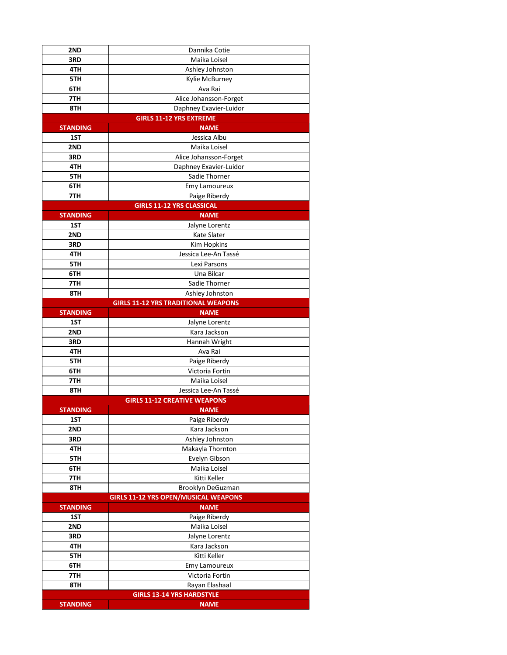| 2ND             | Dannika Cotie                               |
|-----------------|---------------------------------------------|
| 3RD             | Maika Loisel                                |
| 4TH             | Ashley Johnston                             |
| 5TH             | Kylie McBurney                              |
| 6TH             | Ava Rai                                     |
| 7TH             | Alice Johansson-Forget                      |
| 8TH             | Daphney Exavier-Luidor                      |
|                 | <b>GIRLS 11-12 YRS EXTREME</b>              |
| <b>STANDING</b> | <b>NAME</b>                                 |
| 1ST             | Jessica Albu                                |
| 2ND             | Maika Loisel                                |
| 3RD             | Alice Johansson-Forget                      |
| 4TH             | Daphney Exavier-Luidor                      |
| 5TH             | Sadie Thorner                               |
| 6TH             | Emy Lamoureux                               |
| 7TH             | Paige Riberdy                               |
|                 | <b>GIRLS 11-12 YRS CLASSICAL</b>            |
| <b>STANDING</b> | <b>NAME</b>                                 |
| 1ST             | Jalyne Lorentz                              |
| 2ND             | <b>Kate Slater</b>                          |
| 3RD             | <b>Kim Hopkins</b>                          |
| 4TH             | Jessica Lee-An Tassé                        |
| 5TH             | Lexi Parsons                                |
| 6TH             | Una Bilcar                                  |
| 7TH             | Sadie Thorner                               |
| 8TH             | Ashley Johnston                             |
|                 | <b>GIRLS 11-12 YRS TRADITIONAL WEAPONS</b>  |
| <b>STANDING</b> | <b>NAME</b>                                 |
| 1ST             | Jalyne Lorentz                              |
| 2ND             | Kara Jackson                                |
| 3RD             | Hannah Wright                               |
| 4TH             | Ava Rai                                     |
| 5TH             | Paige Riberdy                               |
| 6TH             | Victoria Fortin                             |
| 7TH             | Maika Loisel                                |
| 8TH             | Jessica Lee-An Tassé                        |
|                 | <b>GIRLS 11-12 CREATIVE WEAPONS</b>         |
| <b>STANDING</b> | <b>NAME</b>                                 |
| 1ST             | Paige Riberdy                               |
| 2ND             | Kara Jackson                                |
| 3RD             | Ashley Johnston                             |
| 4TH             | Makayla Thornton                            |
| 5TH             | Evelyn Gibson                               |
| 6TH             | Maika Loisel                                |
| 7TH             | Kitti Keller                                |
| 8TH             | Brooklyn DeGuzman                           |
|                 | <b>GIRLS 11-12 YRS OPEN/MUSICAL WEAPONS</b> |
| <b>STANDING</b> | <b>NAME</b>                                 |
| 1ST             | Paige Riberdy                               |
| 2ND             | Maika Loisel                                |
| 3RD             | Jalyne Lorentz                              |
| 4TH             | Kara Jackson                                |
| 5TH             | Kitti Keller                                |
| 6TH             | Emy Lamoureux                               |
| 7TH             | Victoria Fortin                             |
| 8TH             | Rayan Elashaal                              |
|                 | <b>GIRLS 13-14 YRS HARDSTYLE</b>            |
| <b>STANDING</b> | <b>NAME</b>                                 |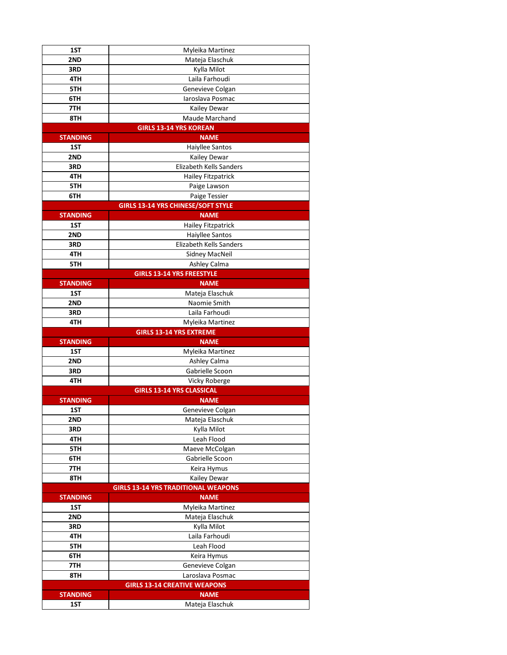| 1ST                    | Myleika Martinez                           |
|------------------------|--------------------------------------------|
| 2ND                    | Mateja Elaschuk                            |
| 3RD                    | Kylla Milot                                |
| 4TH                    | Laila Farhoudi                             |
| 5TH                    | Genevieve Colgan                           |
| 6TH                    | Iaroslava Posmac                           |
| 7TH                    | Kailey Dewar                               |
| 8TH                    | Maude Marchand                             |
|                        | <b>GIRLS 13-14 YRS KOREAN</b>              |
| <b>STANDING</b>        | <b>NAME</b>                                |
| 1ST                    | Haiyllee Santos                            |
| 2ND                    | Kailey Dewar                               |
| 3RD                    | Elizabeth Kells Sanders                    |
| 4TH                    | <b>Hailey Fitzpatrick</b>                  |
| 5TH                    | Paige Lawson                               |
| 6TH                    | Paige Tessier                              |
|                        | <b>GIRLS 13-14 YRS CHINESE/SOFT STYLE</b>  |
| <b>STANDING</b>        | <b>NAME</b>                                |
| 1ST                    | <b>Hailey Fitzpatrick</b>                  |
| 2ND                    | Haiyllee Santos                            |
| 3RD                    | Elizabeth Kells Sanders                    |
| 4TH                    | Sidney MacNeil                             |
| 5TH                    | Ashley Calma                               |
|                        | <b>GIRLS 13-14 YRS FREESTYLE</b>           |
| <b>STANDING</b>        | <b>NAME</b>                                |
| 1ST                    | Mateja Elaschuk                            |
| 2ND                    | Naomie Smith                               |
| 3RD                    | Laila Farhoudi                             |
| 4TH                    | Myleika Martinez                           |
|                        | <b>GIRLS 13-14 YRS EXTREME</b>             |
| <b>STANDING</b><br>1ST | <b>NAME</b><br>Myleika Martinez            |
| 2ND                    | Ashley Calma                               |
| 3RD                    | Gabrielle Scoon                            |
| 4TH                    | Vicky Roberge                              |
|                        | <b>GIRLS 13-14 YRS CLASSICAL</b>           |
| <b>STANDING</b>        | <b>NAME</b>                                |
| 1ST                    |                                            |
|                        |                                            |
| 2ND                    | Genevieve Colgan                           |
| 3RD                    | Mateja Elaschuk<br>Kylla Milot             |
| 4TH                    | Leah Flood                                 |
| 5TH                    | Maeve McColgan                             |
| 6TH                    | Gabrielle Scoon                            |
| 7TH                    | Keira Hymus                                |
| 8TH                    | Kailey Dewar                               |
|                        | <b>GIRLS 13-14 YRS TRADITIONAL WEAPONS</b> |
| <b>STANDING</b>        | <b>NAME</b>                                |
| 1ST                    | Myleika Martinez                           |
| 2ND                    | Mateja Elaschuk                            |
| 3RD                    | Kylla Milot                                |
| 4TH                    | Laila Farhoudi                             |
| 5TH                    | Leah Flood                                 |
| 6TH                    | Keira Hymus                                |
| 7TH                    | Genevieve Colgan                           |
| 8TH                    | Laroslava Posmac                           |
|                        | <b>GIRLS 13-14 CREATIVE WEAPONS</b>        |
| <b>STANDING</b><br>1ST | <b>NAME</b><br>Mateja Elaschuk             |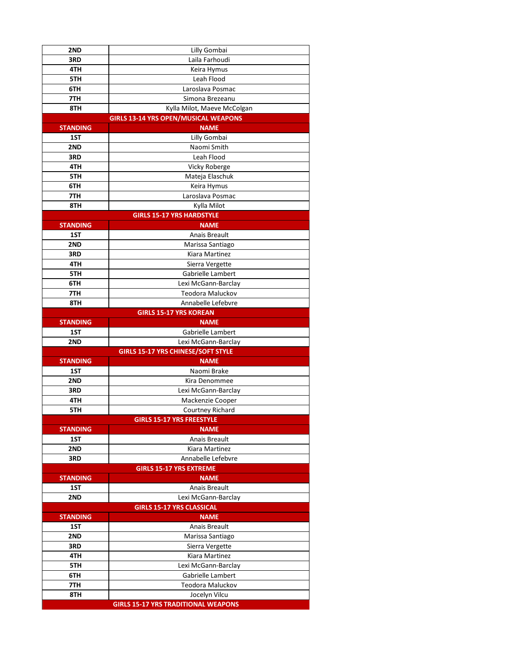| 2ND             | Lilly Gombai                                |
|-----------------|---------------------------------------------|
| 3RD             | Laila Farhoudi                              |
| 4TH             | Keira Hymus                                 |
| 5TH             | Leah Flood                                  |
| 6TH             | Laroslava Posmac                            |
| 7TH             | Simona Brezeanu                             |
| 8TH             | Kylla Milot, Maeve McColgan                 |
|                 | <b>GIRLS 13-14 YRS OPEN/MUSICAL WEAPONS</b> |
| <b>STANDING</b> | <b>NAME</b>                                 |
| 1ST             | Lilly Gombai                                |
| 2ND             | Naomi Smith                                 |
| 3RD             | Leah Flood                                  |
| 4TH             | <b>Vicky Roberge</b>                        |
| 5TH             | Mateja Elaschuk                             |
| 6TH             | Keira Hymus                                 |
| 7TH             | Laroslava Posmac                            |
| 8TH             | Kylla Milot                                 |
|                 | <b>GIRLS 15-17 YRS HARDSTYLE</b>            |
| <b>STANDING</b> | <b>NAME</b>                                 |
| 1ST             | Anais Breault                               |
| 2ND             | Marissa Santiago                            |
| 3RD             | Kiara Martinez                              |
| 4TH             | Sierra Vergette                             |
| 5TH             | Gabrielle Lambert                           |
| 6TH             | Lexi McGann-Barclay                         |
| 7TH             | Teodora Maluckov                            |
| 8TH             | Annabelle Lefebvre                          |
|                 | <b>GIRLS 15-17 YRS KOREAN</b>               |
| <b>STANDING</b> | <b>NAME</b>                                 |
|                 |                                             |
| 1ST             | Gabrielle Lambert                           |
| 2ND             | Lexi McGann-Barclay                         |
|                 | <b>GIRLS 15-17 YRS CHINESE/SOFT STYLE</b>   |
| <b>STANDING</b> | <b>NAME</b>                                 |
| 1ST             | Naomi Brake                                 |
| 2ND             | Kira Denommee                               |
| 3RD             | Lexi McGann-Barclay                         |
| 4TH             | Mackenzie Cooper                            |
| 5TH             | <b>Courtney Richard</b>                     |
|                 | <b>GIRLS 15-17 YRS FREESTYLE</b>            |
| <b>STANDING</b> | <b>NAME</b>                                 |
| 1ST             | <b>Anais Breault</b>                        |
| 2ND             | Kiara Martinez                              |
| 3RD             | Annabelle Lefebvre                          |
|                 | <b>GIRLS 15-17 YRS EXTREME</b>              |
| <b>STANDING</b> | <b>NAME</b>                                 |
| 1ST             | <b>Anais Breault</b>                        |
| 2ND             | Lexi McGann-Barclay                         |
|                 | <b>GIRLS 15-17 YRS CLASSICAL</b>            |
| <b>STANDING</b> | <b>NAME</b>                                 |
| 1ST             | Anais Breault                               |
| 2ND             | Marissa Santiago                            |
| 3RD             | Sierra Vergette                             |
| 4TH             | Kiara Martinez                              |
| 5TH             | Lexi McGann-Barclay                         |
| 6TH             | Gabrielle Lambert                           |
| 7TH             | <b>Teodora Maluckov</b>                     |
| 8TH             | Jocelyn Vilcu                               |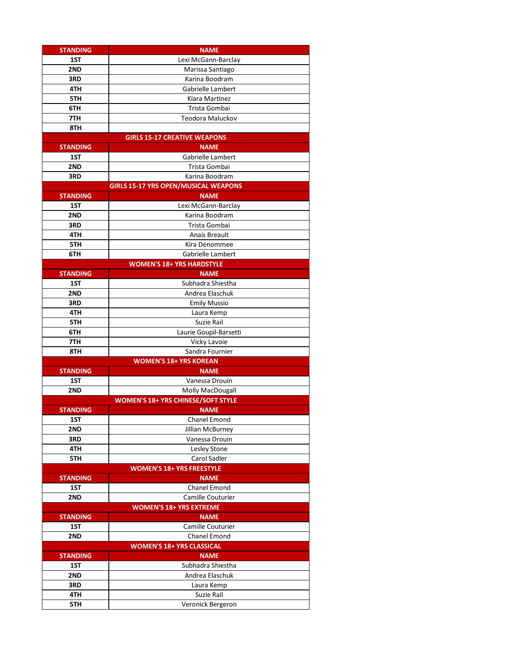| <b>STANDING</b> | <b>NAME</b>                                 |
|-----------------|---------------------------------------------|
| 1ST             | Lexi McGann-Barclay                         |
| 2ND             | Marissa Santiago                            |
| 3RD             | Karina Boodram                              |
| 4TH             | Gabrielle Lambert                           |
| 5TH             | Kiara Martinez                              |
| 6TH             | Trista Gombai                               |
| 7TH             | Teodora Maluckov                            |
| 8TH             |                                             |
|                 | <b>GIRLS 15-17 CREATIVE WEAPONS</b>         |
| <b>STANDING</b> | <b>NAME</b>                                 |
| 1ST             | Gabrielle Lambert                           |
| 2ND             | Trista Gombai                               |
| 3RD             | Karina Boodram                              |
|                 | <b>GIRLS 15-17 YRS OPEN/MUSICAL WEAPONS</b> |
| <b>STANDING</b> | <b>NAME</b>                                 |
| 1ST             | Lexi McGann-Barclay                         |
| 2ND             | Karina Boodram                              |
| 3RD             | Trista Gombai                               |
| 4TH             | Anais Breault                               |
| 5TH             | Kira Denommee                               |
| 6TH             | Gabrielle Lambert                           |
|                 | <b>WOMEN'S 18+ YRS HARDSTYLE</b>            |
| <b>STANDING</b> | <b>NAME</b>                                 |
| 1ST             | Subhadra Shiestha                           |
| 2ND             | Andrea Elaschuk                             |
| 3RD             | <b>Emily Mussio</b>                         |
| 4TH             | Laura Kemp                                  |
| 5TH             | Suzie Rail                                  |
| 6TH             | Laurie Goupil-Barsetti                      |
| 7TH             | Vicky Lavoie                                |
| 8TH             | Sandra Fournier                             |
|                 | <b>WOMEN'S 18+ YRS KOREAN</b>               |
| <b>STANDING</b> | <b>NAME</b>                                 |
| 1ST             | Vanessa Drouin                              |
| 2ND             | Molly MacDougall                            |
|                 | <b>WOMEN'S 18+ YRS CHINESE/SOFT STYLE</b>   |
| <b>STANDING</b> | <b>NAME</b>                                 |
| 1ST             | Chanel Emond                                |
| 2ND             | Jillian McBurney                            |
| 3RD             | Vanessa Drouin                              |
| 4TH             | Lesley Stone                                |
| 5TH             | Carol Sadler                                |
|                 | <b>WOMEN'S 18+ YRS FREESTYLE</b>            |
| <b>STANDING</b> | <b>NAME</b>                                 |
| 1ST             | Chanel Emond                                |
| 2ND             | Camille Couturier                           |
|                 | <b>WOMEN'S 18+ YRS EXTREME</b>              |
| <b>STANDING</b> | <b>NAME</b>                                 |
| 1ST             | Camille Couturier                           |
| 2ND             | Chanel Emond                                |
|                 | <b>WOMEN'S 18+ YRS CLASSICAL</b>            |
| <b>STANDING</b> | <b>NAME</b>                                 |
| 1ST             | Subhadra Shiestha                           |
| 2ND             | Andrea Elaschuk                             |
| 3RD             | Laura Kemp                                  |
| 4TH             | Suzie Rail                                  |
| 5TH             | Veronick Bergeron                           |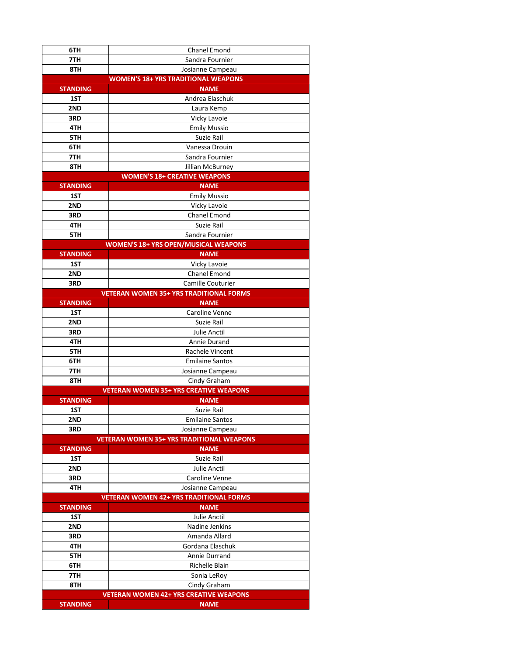| 6TH             | <b>Chanel Emond</b>                              |
|-----------------|--------------------------------------------------|
| 7TH             | Sandra Fournier                                  |
| 8TH             | Josianne Campeau                                 |
|                 | <b>WOMEN'S 18+ YRS TRADITIONAL WEAPONS</b>       |
| <b>STANDING</b> | <b>NAME</b>                                      |
| 1ST             | Andrea Elaschuk                                  |
| 2ND             | Laura Kemp                                       |
| 3RD             | <b>Vicky Lavoie</b>                              |
| 4TH             | <b>Emily Mussio</b>                              |
| 5TH             | Suzie Rail                                       |
| 6TH             | Vanessa Drouin                                   |
| 7TH             | Sandra Fournier                                  |
| 8TH             | Jillian McBurney                                 |
|                 | <b>WOMEN'S 18+ CREATIVE WEAPONS</b>              |
| <b>STANDING</b> | <b>NAME</b>                                      |
| 1ST             | <b>Emily Mussio</b>                              |
| 2ND             | Vicky Lavoie                                     |
| 3RD             | Chanel Emond                                     |
| 4TH             | Suzie Rail                                       |
| 5TH             | Sandra Fournier                                  |
|                 | <b>WOMEN'S 18+ YRS OPEN/MUSICAL WEAPONS</b>      |
| <b>STANDING</b> | <b>NAME</b>                                      |
| 1ST             | Vicky Lavoie                                     |
| 2ND             | <b>Chanel Emond</b>                              |
| 3RD             | Camille Couturier                                |
|                 | <b>VETERAN WOMEN 35+ YRS TRADITIONAL FORMS</b>   |
| <b>STANDING</b> | <b>NAME</b>                                      |
| 1ST             | Caroline Venne                                   |
| 2ND             | Suzie Rail                                       |
| 3RD             | <b>Julie Anctil</b>                              |
| 4TH             | Annie Durand                                     |
| 5TH             | Rachele Vincent                                  |
| 6TH             | <b>Emilaine Santos</b>                           |
| 7TH             | Josianne Campeau                                 |
| 8TH             | Cindy Graham                                     |
|                 | <b>VETERAN WOMEN 35+ YRS CREATIVE WEAPONS</b>    |
| <b>STANDING</b> | <b>NAME</b>                                      |
| 1ST             | Suzie Rail                                       |
| 2ND             | <b>Emilaine Santos</b>                           |
| 3RD             | Josianne Campeau                                 |
|                 | <b>VETERAN WOMEN 35+ YRS TRADITIONAL WEAPONS</b> |
| <b>STANDING</b> | <b>NAME</b>                                      |
| 1ST             | Suzie Rail                                       |
| 2ND             | <b>Julie Anctil</b>                              |
| 3RD             | Caroline Venne                                   |
| 4TH             | Josianne Campeau                                 |
|                 | <b>VETERAN WOMEN 42+ YRS TRADITIONAL FORMS</b>   |
| <b>STANDING</b> | <b>NAME</b>                                      |
| 1ST             | Julie Anctil                                     |
| 2ND             | Nadine Jenkins                                   |
| 3RD             | Amanda Allard                                    |
| 4TH             | Gordana Elaschuk                                 |
| 5TH             | Annie Durrand                                    |
| 6TH             | Richelle Blain                                   |
| 7TH             | Sonia LeRoy<br>Cindy Graham                      |
| 8TH             | <b>VETERAN WOMEN 42+ YRS CREATIVE WEAPONS</b>    |
|                 |                                                  |
| <b>STANDING</b> | <b>NAME</b>                                      |